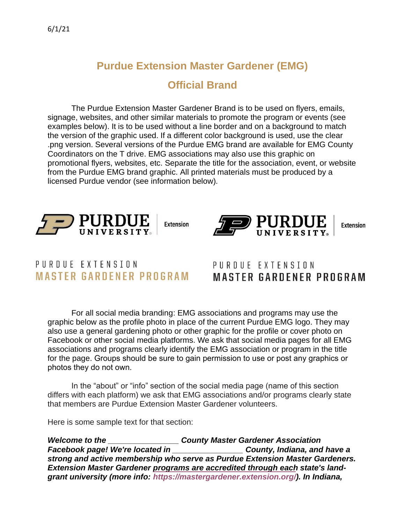## **Purdue Extension Master Gardener (EMG) Official Brand**

The Purdue Extension Master Gardener Brand is to be used on flyers, emails, signage, websites, and other similar materials to promote the program or events (see examples below). It is to be used without a line border and on a background to match the version of the graphic used. If a different color background is used, use the clear .png version. Several versions of the Purdue EMG brand are available for EMG County Coordinators on the T drive. EMG associations may also use this graphic on promotional flyers, websites, etc. Separate the title for the association, event, or website from the Purdue EMG brand graphic. All printed materials must be produced by a licensed Purdue vendor (see information below).



**Extension** 



**Extension** 

## PURDUE EXTENSION **MASTER GARDENER PROGRAM**

## PURDUE EXTENSION **MASTER GARDENER PROGRAM**

For all social media branding: EMG associations and programs may use the graphic below as the profile photo in place of the current Purdue EMG logo. They may also use a general gardening photo or other graphic for the profile or cover photo on Facebook or other social media platforms. We ask that social media pages for all EMG associations and programs clearly identify the EMG association or program in the title for the page. Groups should be sure to gain permission to use or post any graphics or photos they do not own.

In the "about" or "info" section of the social media page (name of this section differs with each platform) we ask that EMG associations and/or programs clearly state that members are Purdue Extension Master Gardener volunteers.

Here is some sample text for that section:

*Welcome to the \_\_\_\_\_\_\_\_\_\_\_\_\_\_\_\_ County Master Gardener Association Facebook page! We're located in strong and active membership who serve as Purdue Extension Master Gardeners. Extension Master Gardener programs are accredited through each state's landgrant university (more info: [https://mastergardener.extension.org/\).](https://mastergardener.extension.org/) In Indiana,*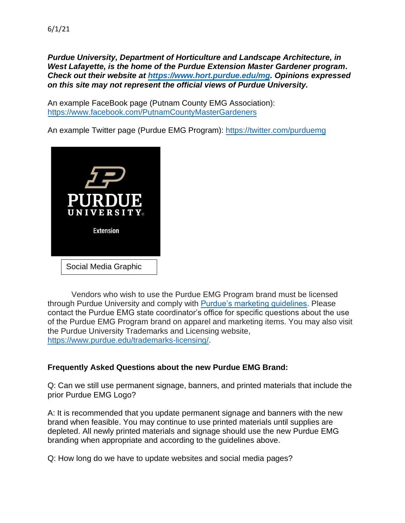*Purdue University, Department of Horticulture and Landscape Architecture, in West Lafayette, is the home of the Purdue Extension Master Gardener program. Check out their website at [https://www.hort.purdue.edu/mg.](https://www.hort.purdue.edu/mg) Opinions expressed* 

*on this site may not represent the official views of Purdue University.* 

An example FaceBook page (Putnam County EMG Association): <https://www.facebook.com/PutnamCountyMasterGardeners>

An example Twitter page (Purdue EMG Program):<https://twitter.com/purduemg>



Vendors who wish to use the Purdue EMG Program brand must be licensed through Purdue University and comply with [Purdue's marketing guidelines.](https://marcom.purdue.edu/) Please contact the Purdue EMG state coordinator's office for specific questions about the use of the Purdue EMG Program brand on apparel and marketing items. You may also visit the Purdue University Trademarks and Licensing website, [https://www.purdue.edu/trademarks-licensing/.](https://www.purdue.edu/trademarks-licensing/)

## **Frequently Asked Questions about the new Purdue EMG Brand:**

Q: Can we still use permanent signage, banners, and printed materials that include the prior Purdue EMG Logo?

A: It is recommended that you update permanent signage and banners with the new brand when feasible. You may continue to use printed materials until supplies are depleted. All newly printed materials and signage should use the new Purdue EMG branding when appropriate and according to the guidelines above.

Q: How long do we have to update websites and social media pages?